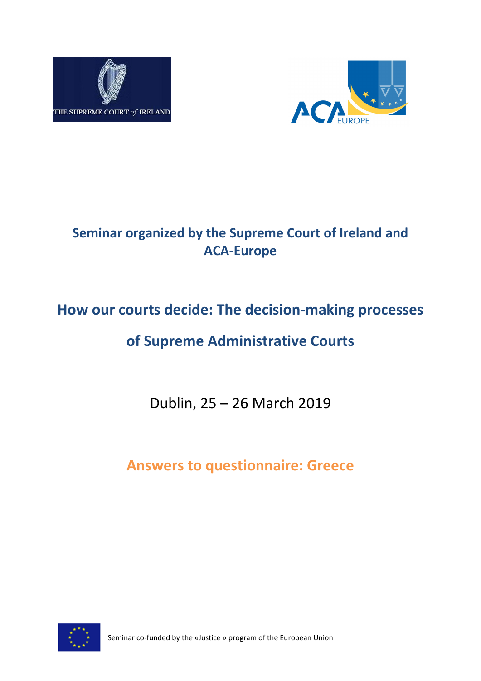



# **Seminar organized by the Supreme Court of Ireland and ACA-Europe**

# **How our courts decide: The decision-making processes**

# **of Supreme Administrative Courts**

Dublin, 25 – 26 March 2019

**Answers to questionnaire: Greece**



Seminar co-funded by the «Justice » program of the European Union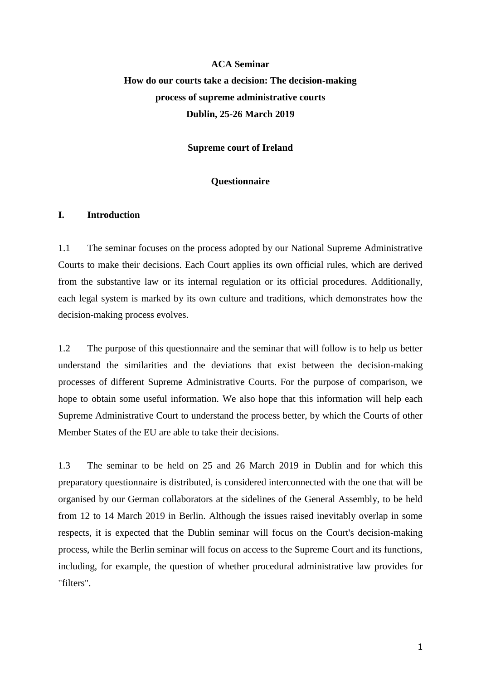# **ACA Seminar How do our courts take a decision: The decision-making process of supreme administrative courts Dublin, 25-26 March 2019**

**Supreme court of Ireland**

### **Questionnaire**

#### **I. Introduction**

1.1 The seminar focuses on the process adopted by our National Supreme Administrative Courts to make their decisions. Each Court applies its own official rules, which are derived from the substantive law or its internal regulation or its official procedures. Additionally, each legal system is marked by its own culture and traditions, which demonstrates how the decision-making process evolves.

1.2 The purpose of this questionnaire and the seminar that will follow is to help us better understand the similarities and the deviations that exist between the decision-making processes of different Supreme Administrative Courts. For the purpose of comparison, we hope to obtain some useful information. We also hope that this information will help each Supreme Administrative Court to understand the process better, by which the Courts of other Member States of the EU are able to take their decisions.

1.3 The seminar to be held on 25 and 26 March 2019 in Dublin and for which this preparatory questionnaire is distributed, is considered interconnected with the one that will be organised by our German collaborators at the sidelines of the General Assembly, to be held from 12 to 14 March 2019 in Berlin. Although the issues raised inevitably overlap in some respects, it is expected that the Dublin seminar will focus on the Court's decision-making process, while the Berlin seminar will focus on access to the Supreme Court and its functions, including, for example, the question of whether procedural administrative law provides for "filters".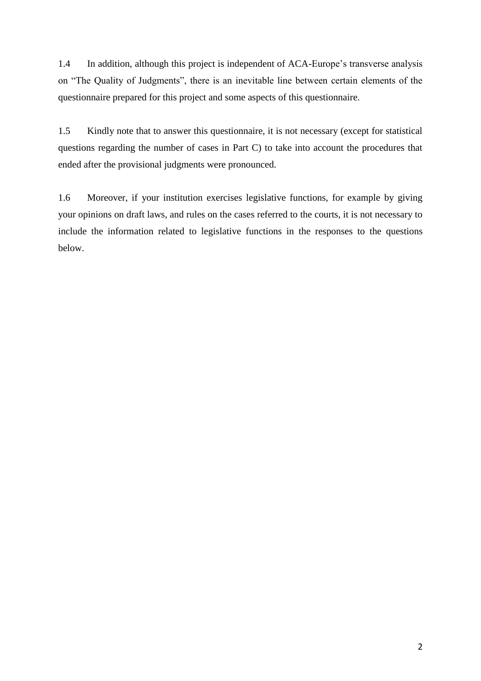1.4 In addition, although this project is independent of ACA-Europe's transverse analysis on "The Quality of Judgments", there is an inevitable line between certain elements of the questionnaire prepared for this project and some aspects of this questionnaire.

1.5 Kindly note that to answer this questionnaire, it is not necessary (except for statistical questions regarding the number of cases in Part C) to take into account the procedures that ended after the provisional judgments were pronounced.

1.6 Moreover, if your institution exercises legislative functions, for example by giving your opinions on draft laws, and rules on the cases referred to the courts, it is not necessary to include the information related to legislative functions in the responses to the questions below.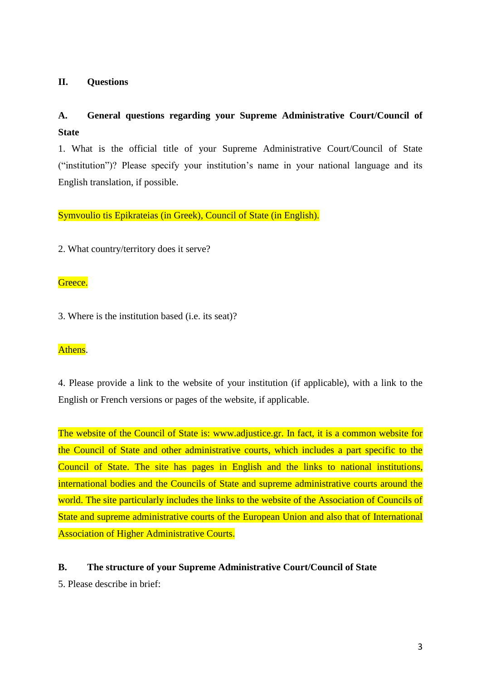# **II. Questions**

# **A. General questions regarding your Supreme Administrative Court/Council of State**

1. What is the official title of your Supreme Administrative Court/Council of State ("institution")? Please specify your institution's name in your national language and its English translation, if possible.

Symvoulio tis Epikrateias (in Greek), Council of State (in English).

2. What country/territory does it serve?

## Greece.

3. Where is the institution based (i.e. its seat)?

## Athens.

4. Please provide a link to the website of your institution (if applicable), with a link to the English or French versions or pages of the website, if applicable.

The website of the Council of State is: [www.adjustice.gr.](http://www.adjustice.gr/) In fact, it is a common website for the Council of State and other administrative courts, which includes a part specific to the Council of State. The site has pages in English and the links to national institutions, international bodies and the Councils of State and supreme administrative courts around the world. The site particularly includes the links to the website of the Association of Councils of State and supreme administrative courts of the European Union and also that of International Association of Higher Administrative Courts.

## **B. The structure of your Supreme Administrative Court/Council of State**

5. Please describe in brief: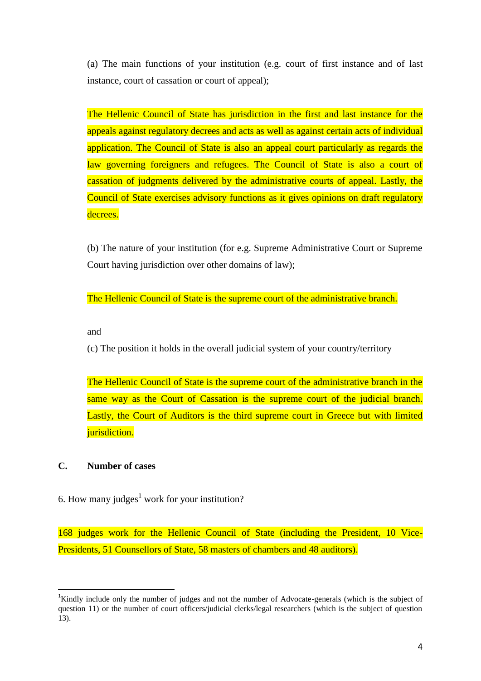(a) The main functions of your institution (e.g. court of first instance and of last instance, court of cassation or court of appeal);

The Hellenic Council of State has jurisdiction in the first and last instance for the appeals against regulatory decrees and acts as well as against certain acts of individual application. The Council of State is also an appeal court particularly as regards the law governing foreigners and refugees. The Council of State is also a court of cassation of judgments delivered by the administrative courts of appeal. Lastly, the Council of State exercises advisory functions as it gives opinions on draft regulatory decrees.

(b) The nature of your institution (for e.g. Supreme Administrative Court or Supreme Court having jurisdiction over other domains of law);

The Hellenic Council of State is the supreme court of the administrative branch.

and

(c) The position it holds in the overall judicial system of your country/territory

The Hellenic Council of State is the supreme court of the administrative branch in the same way as the Court of Cassation is the supreme court of the judicial branch. Lastly, the Court of Auditors is the third supreme court in Greece but with limited jurisdiction.

#### **C. Number of cases**

-

6. How many judges<sup>1</sup> work for your institution?

168 judges work for the Hellenic Council of State (including the President, 10 Vice-Presidents, 51 Counsellors of State, 58 masters of chambers and 48 auditors).

<sup>&</sup>lt;sup>1</sup>Kindly include only the number of judges and not the number of Advocate-generals (which is the subject of question 11) or the number of court officers/judicial clerks/legal researchers (which is the subject of question 13).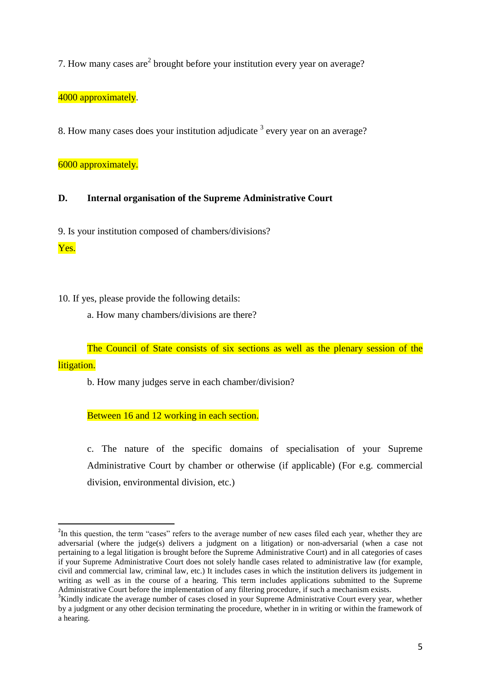7. How many cases are $^2$  brought before your institution every year on average?

4000 approximately.

8. How many cases does your institution adjudicate  $3$  every year on an average?

6000 approximately.

#### **D. Internal organisation of the Supreme Administrative Court**

9. Is your institution composed of chambers/divisions?

Yes.

10. If yes, please provide the following details:

a. How many chambers/divisions are there?

The Council of State consists of six sections as well as the plenary session of the litigation.

b. How many judges serve in each chamber/division?

Between 16 and 12 working in each section.

c. The nature of the specific domains of specialisation of your Supreme Administrative Court by chamber or otherwise (if applicable) (For e.g. commercial division, environmental division, etc.)

<sup>1</sup> <sup>2</sup>In this question, the term "cases" refers to the average number of new cases filed each year, whether they are adversarial (where the judge(s) delivers a judgment on a litigation) or non-adversarial (when a case not pertaining to a legal litigation is brought before the Supreme Administrative Court) and in all categories of cases if your Supreme Administrative Court does not solely handle cases related to administrative law (for example, civil and commercial law, criminal law, etc.) It includes cases in which the institution delivers its judgement in writing as well as in the course of a hearing. This term includes applications submitted to the Supreme Administrative Court before the implementation of any filtering procedure, if such a mechanism exists.

<sup>&</sup>lt;sup>3</sup>Kindly indicate the average number of cases closed in your Supreme Administrative Court every year, whether by a judgment or any other decision terminating the procedure, whether in in writing or within the framework of a hearing.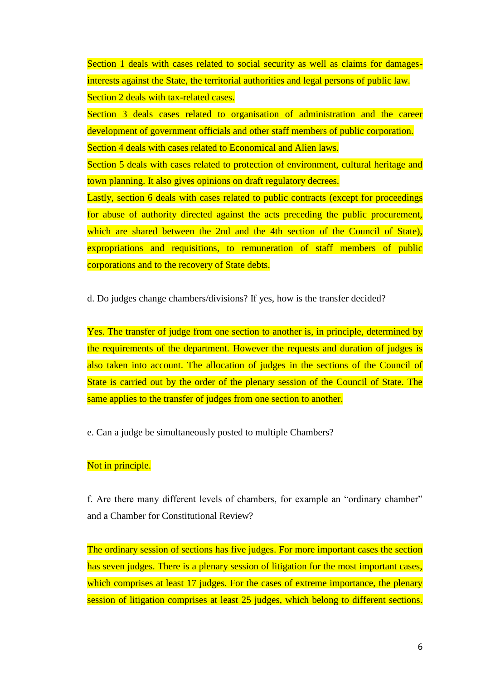Section 1 deals with cases related to social security as well as claims for damagesinterests against the State, the territorial authorities and legal persons of public law. Section 2 deals with tax-related cases. Section 3 deals cases related to organisation of administration and the career development of government officials and other staff members of public corporation. Section 4 deals with cases related to Economical and Alien laws. Section 5 deals with cases related to protection of environment, cultural heritage and town planning. It also gives opinions on draft regulatory decrees. Lastly, section 6 deals with cases related to public contracts (except for proceedings for abuse of authority directed against the acts preceding the public procurement, which are shared between the 2nd and the 4th section of the Council of State), expropriations and requisitions, to remuneration of staff members of public corporations and to the recovery of State debts.

d. Do judges change chambers/divisions? If yes, how is the transfer decided?

Yes. The transfer of judge from one section to another is, in principle, determined by the requirements of the department. However the requests and duration of judges is also taken into account. The allocation of judges in the sections of the Council of State is carried out by the order of the plenary session of the Council of State. The same applies to the transfer of judges from one section to another.

e. Can a judge be simultaneously posted to multiple Chambers?

#### Not in principle.

f. Are there many different levels of chambers, for example an "ordinary chamber" and a Chamber for Constitutional Review?

The ordinary session of sections has five judges. For more important cases the section has seven judges. There is a plenary session of litigation for the most important cases, which comprises at least 17 judges. For the cases of extreme importance, the plenary session of litigation comprises at least 25 judges, which belong to different sections.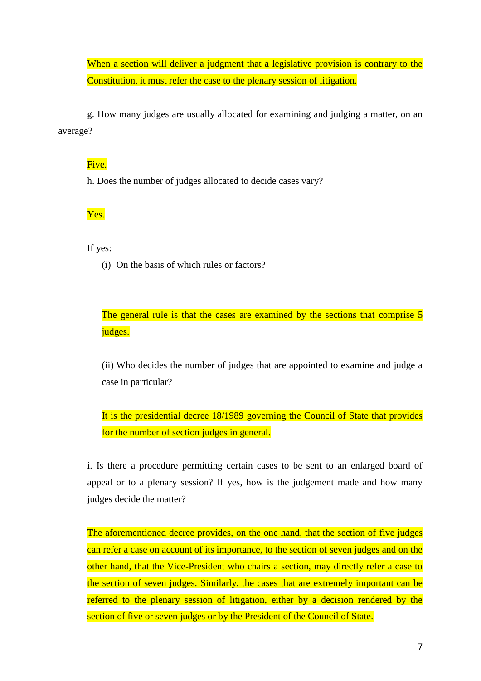When a section will deliver a judgment that a legislative provision is contrary to the Constitution, it must refer the case to the plenary session of litigation.

g. How many judges are usually allocated for examining and judging a matter, on an average?

#### Five.

h. Does the number of judges allocated to decide cases vary?

Yes.

#### If yes:

(i) On the basis of which rules or factors?

The general rule is that the cases are examined by the sections that comprise 5 judges.

(ii) Who decides the number of judges that are appointed to examine and judge a case in particular?

It is the presidential decree 18/1989 governing the Council of State that provides for the number of section judges in general.

i. Is there a procedure permitting certain cases to be sent to an enlarged board of appeal or to a plenary session? If yes, how is the judgement made and how many judges decide the matter?

The aforementioned decree provides, on the one hand, that the section of five judges can refer a case on account of its importance, to the section of seven judges and on the other hand, that the Vice-President who chairs a section, may directly refer a case to the section of seven judges. Similarly, the cases that are extremely important can be referred to the plenary session of litigation, either by a decision rendered by the section of five or seven judges or by the President of the Council of State.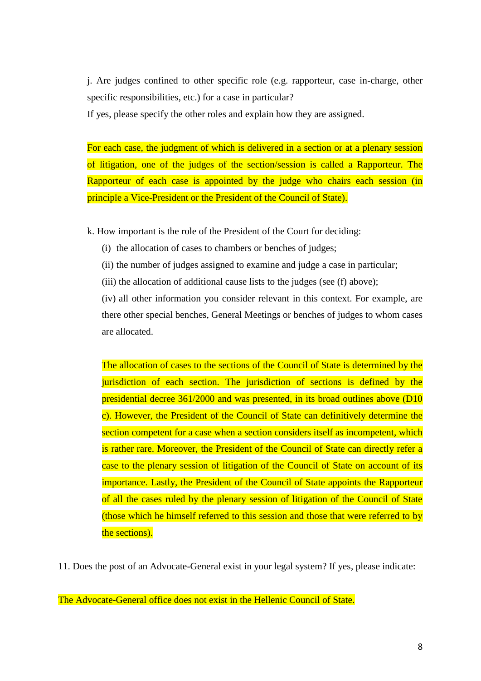j. Are judges confined to other specific role (e.g. rapporteur, case in-charge, other specific responsibilities, etc.) for a case in particular?

If yes, please specify the other roles and explain how they are assigned.

For each case, the judgment of which is delivered in a section or at a plenary session of litigation, one of the judges of the section/session is called a Rapporteur. The Rapporteur of each case is appointed by the judge who chairs each session (in principle a Vice-President or the President of the Council of State).

k. How important is the role of the President of the Court for deciding:

(i) the allocation of cases to chambers or benches of judges;

(ii) the number of judges assigned to examine and judge a case in particular;

(iii) the allocation of additional cause lists to the judges (see (f) above);

(iv) all other information you consider relevant in this context. For example, are there other special benches, General Meetings or benches of judges to whom cases are allocated.

The allocation of cases to the sections of the Council of State is determined by the jurisdiction of each section. The jurisdiction of sections is defined by the presidential decree 361/2000 and was presented, in its broad outlines above (D10 c). However, the President of the Council of State can definitively determine the section competent for a case when a section considers itself as incompetent, which is rather rare. Moreover, the President of the Council of State can directly refer a case to the plenary session of litigation of the Council of State on account of its importance. Lastly, the President of the Council of State appoints the Rapporteur of all the cases ruled by the plenary session of litigation of the Council of State (those which he himself referred to this session and those that were referred to by the sections).

11. Does the post of an Advocate-General exist in your legal system? If yes, please indicate:

The Advocate-General office does not exist in the Hellenic Council of State.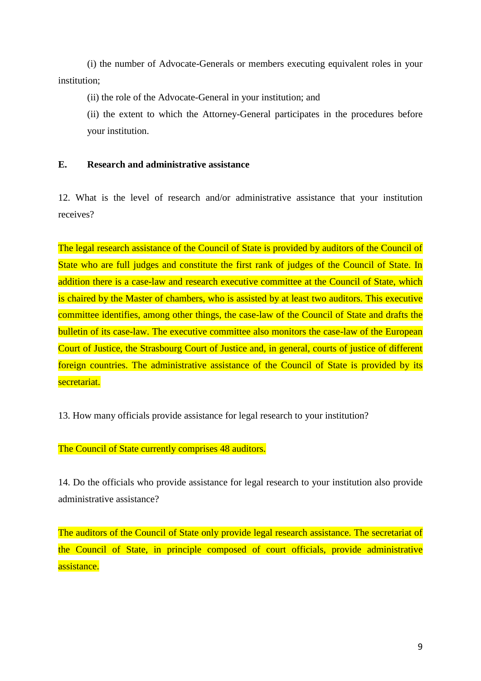(i) the number of Advocate-Generals or members executing equivalent roles in your institution;

(ii) the role of the Advocate-General in your institution; and

(ii) the extent to which the Attorney-General participates in the procedures before your institution.

#### **E. Research and administrative assistance**

12. What is the level of research and/or administrative assistance that your institution receives?

The legal research assistance of the Council of State is provided by auditors of the Council of State who are full judges and constitute the first rank of judges of the Council of State. In addition there is a case-law and research executive committee at the Council of State, which is chaired by the Master of chambers, who is assisted by at least two auditors. This executive committee identifies, among other things, the case-law of the Council of State and drafts the bulletin of its case-law. The executive committee also monitors the case-law of the European Court of Justice, the Strasbourg Court of Justice and, in general, courts of justice of different foreign countries. The administrative assistance of the Council of State is provided by its secretariat.

13. How many officials provide assistance for legal research to your institution?

### The Council of State currently comprises 48 auditors.

14. Do the officials who provide assistance for legal research to your institution also provide administrative assistance?

The auditors of the Council of State only provide legal research assistance. The secretariat of the Council of State, in principle composed of court officials, provide administrative assistance.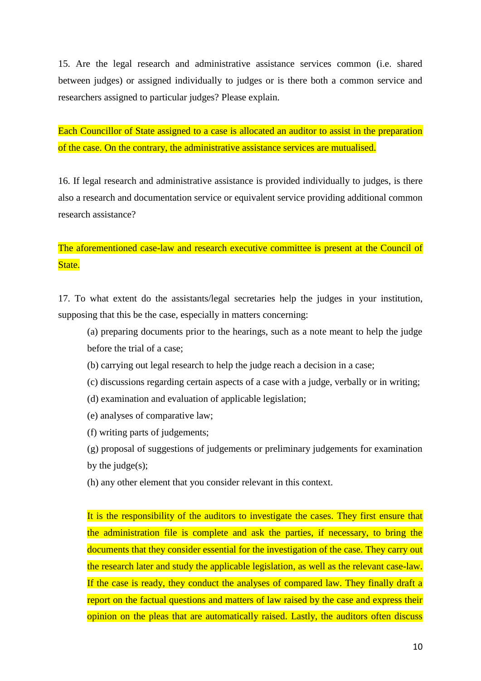15. Are the legal research and administrative assistance services common (i.e. shared between judges) or assigned individually to judges or is there both a common service and researchers assigned to particular judges? Please explain.

Each Councillor of State assigned to a case is allocated an auditor to assist in the preparation of the case. On the contrary, the administrative assistance services are mutualised.

16. If legal research and administrative assistance is provided individually to judges, is there also a research and documentation service or equivalent service providing additional common research assistance?

The aforementioned case-law and research executive committee is present at the Council of State.

17. To what extent do the assistants/legal secretaries help the judges in your institution, supposing that this be the case, especially in matters concerning:

(a) preparing documents prior to the hearings, such as a note meant to help the judge before the trial of a case;

- (b) carrying out legal research to help the judge reach a decision in a case;
- (c) discussions regarding certain aspects of a case with a judge, verbally or in writing;
- (d) examination and evaluation of applicable legislation;
- (e) analyses of comparative law;
- (f) writing parts of judgements;
- (g) proposal of suggestions of judgements or preliminary judgements for examination by the judge $(s)$ ;
- (h) any other element that you consider relevant in this context.

It is the responsibility of the auditors to investigate the cases. They first ensure that the administration file is complete and ask the parties, if necessary, to bring the documents that they consider essential for the investigation of the case. They carry out the research later and study the applicable legislation, as well as the relevant case-law. If the case is ready, they conduct the analyses of compared law. They finally draft a report on the factual questions and matters of law raised by the case and express their opinion on the pleas that are automatically raised. Lastly, the auditors often discuss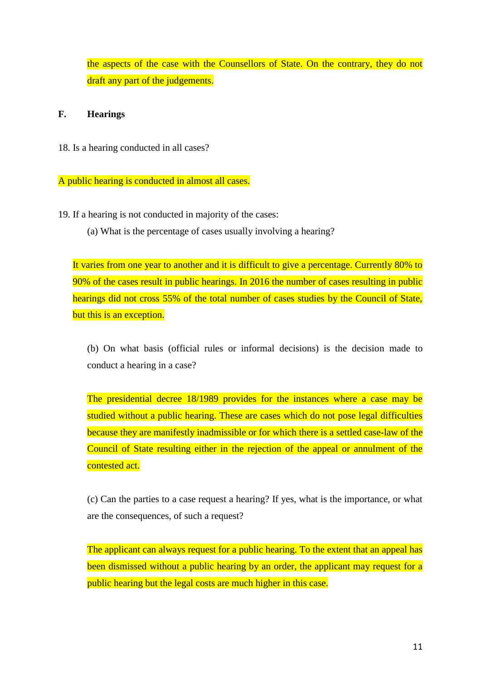the aspects of the case with the Counsellors of State. On the contrary, they do not draft any part of the judgements.

### **F. Hearings**

18. Is a hearing conducted in all cases?

A public hearing is conducted in almost all cases.

- 19. If a hearing is not conducted in majority of the cases:
	- (a) What is the percentage of cases usually involving a hearing?

It varies from one year to another and it is difficult to give a percentage. Currently 80% to 90% of the cases result in public hearings. In 2016 the number of cases resulting in public hearings did not cross 55% of the total number of cases studies by the Council of State, but this is an exception.

(b) On what basis (official rules or informal decisions) is the decision made to conduct a hearing in a case?

The presidential decree 18/1989 provides for the instances where a case may be studied without a public hearing. These are cases which do not pose legal difficulties because they are manifestly inadmissible or for which there is a settled case-law of the Council of State resulting either in the rejection of the appeal or annulment of the contested act.

(c) Can the parties to a case request a hearing? If yes, what is the importance, or what are the consequences, of such a request?

The applicant can always request for a public hearing. To the extent that an appeal has been dismissed without a public hearing by an order, the applicant may request for a public hearing but the legal costs are much higher in this case.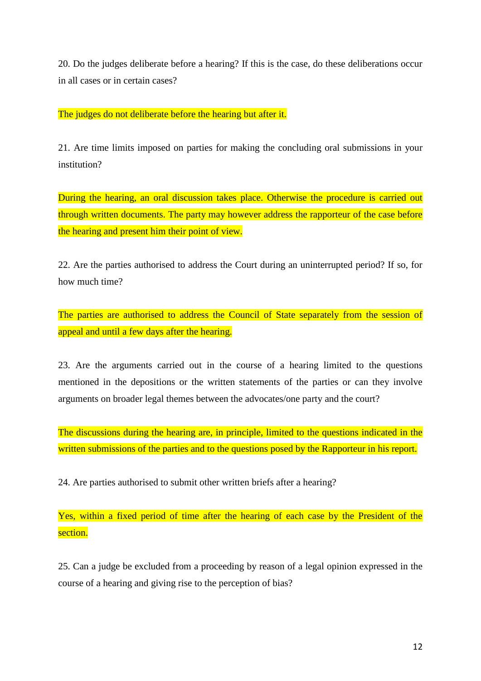20. Do the judges deliberate before a hearing? If this is the case, do these deliberations occur in all cases or in certain cases?

The judges do not deliberate before the hearing but after it.

21. Are time limits imposed on parties for making the concluding oral submissions in your institution?

During the hearing, an oral discussion takes place. Otherwise the procedure is carried out through written documents. The party may however address the rapporteur of the case before the hearing and present him their point of view.

22. Are the parties authorised to address the Court during an uninterrupted period? If so, for how much time?

The parties are authorised to address the Council of State separately from the session of appeal and until a few days after the hearing.

23. Are the arguments carried out in the course of a hearing limited to the questions mentioned in the depositions or the written statements of the parties or can they involve arguments on broader legal themes between the advocates/one party and the court?

The discussions during the hearing are, in principle, limited to the questions indicated in the written submissions of the parties and to the questions posed by the Rapporteur in his report.

24. Are parties authorised to submit other written briefs after a hearing?

Yes, within a fixed period of time after the hearing of each case by the President of the section.

25. Can a judge be excluded from a proceeding by reason of a legal opinion expressed in the course of a hearing and giving rise to the perception of bias?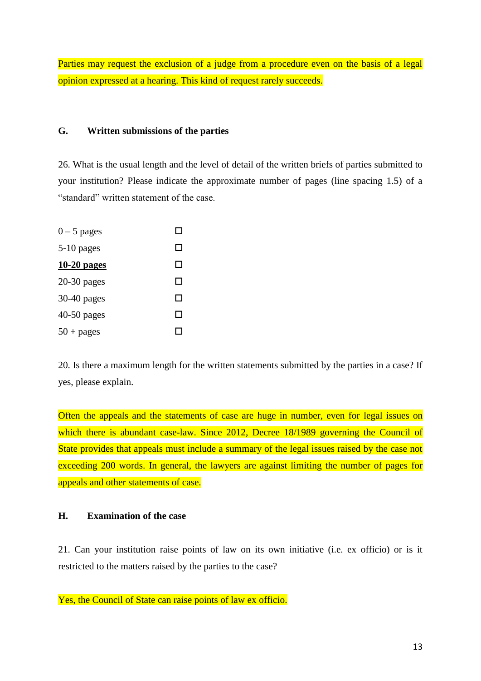Parties may request the exclusion of a judge from a procedure even on the basis of a legal opinion expressed at a hearing. This kind of request rarely succeeds.

#### **G. Written submissions of the parties**

26. What is the usual length and the level of detail of the written briefs of parties submitted to your institution? Please indicate the approximate number of pages (line spacing 1.5) of a "standard" written statement of the case.

| $0-5$ pages        |   |
|--------------------|---|
| 5-10 pages         | П |
| <u>10-20 pages</u> | □ |
| 20-30 pages        | П |
| 30-40 pages        | П |
| 40-50 pages        | П |
| $50 + pages$       |   |

20. Is there a maximum length for the written statements submitted by the parties in a case? If yes, please explain.

Often the appeals and the statements of case are huge in number, even for legal issues on which there is abundant case-law. Since 2012, Decree 18/1989 governing the Council of State provides that appeals must include a summary of the legal issues raised by the case not exceeding 200 words. In general, the lawyers are against limiting the number of pages for appeals and other statements of case.

#### **H. Examination of the case**

21. Can your institution raise points of law on its own initiative (i.e. ex officio) or is it restricted to the matters raised by the parties to the case?

Yes, the Council of State can raise points of law ex officio.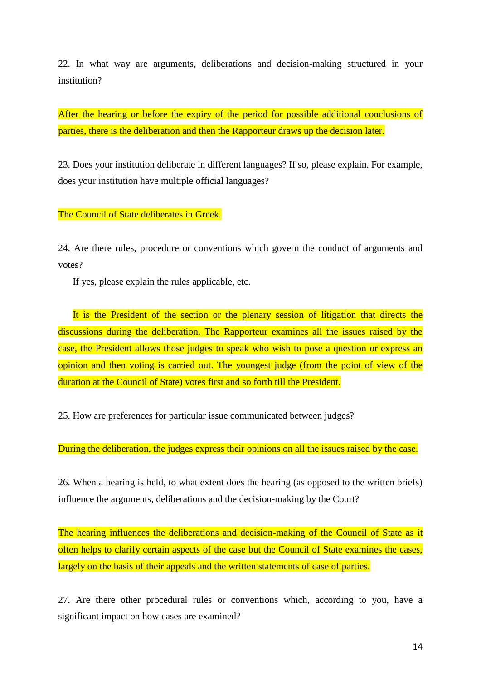22. In what way are arguments, deliberations and decision-making structured in your institution?

After the hearing or before the expiry of the period for possible additional conclusions of parties, there is the deliberation and then the Rapporteur draws up the decision later.

23. Does your institution deliberate in different languages? If so, please explain. For example, does your institution have multiple official languages?

The Council of State deliberates in Greek.

24. Are there rules, procedure or conventions which govern the conduct of arguments and votes?

If yes, please explain the rules applicable, etc.

It is the President of the section or the plenary session of litigation that directs the discussions during the deliberation. The Rapporteur examines all the issues raised by the case, the President allows those judges to speak who wish to pose a question or express an opinion and then voting is carried out. The youngest judge (from the point of view of the duration at the Council of State) votes first and so forth till the President.

25. How are preferences for particular issue communicated between judges?

During the deliberation, the judges express their opinions on all the issues raised by the case.

26. When a hearing is held, to what extent does the hearing (as opposed to the written briefs) influence the arguments, deliberations and the decision-making by the Court?

The hearing influences the deliberations and decision-making of the Council of State as it often helps to clarify certain aspects of the case but the Council of State examines the cases, largely on the basis of their appeals and the written statements of case of parties.

27. Are there other procedural rules or conventions which, according to you, have a significant impact on how cases are examined?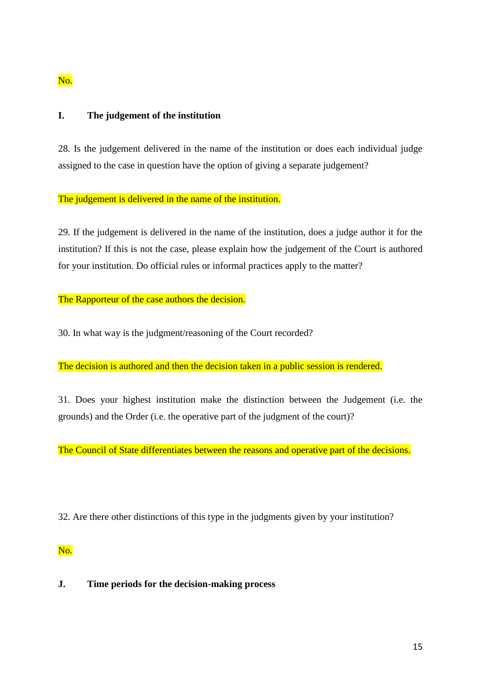# **I. The judgement of the institution**

28. Is the judgement delivered in the name of the institution or does each individual judge assigned to the case in question have the option of giving a separate judgement?

The judgement is delivered in the name of the institution.

29. If the judgement is delivered in the name of the institution, does a judge author it for the institution? If this is not the case, please explain how the judgement of the Court is authored for your institution. Do official rules or informal practices apply to the matter?

The Rapporteur of the case authors the decision.

30. In what way is the judgment/reasoning of the Court recorded?

The decision is authored and then the decision taken in a public session is rendered.

31. Does your highest institution make the distinction between the Judgement (i.e. the grounds) and the Order (i.e. the operative part of the judgment of the court)?

The Council of State differentiates between the reasons and operative part of the decisions.

32. Are there other distinctions of this type in the judgments given by your institution?

#### No.

**J. Time periods for the decision-making process**

No.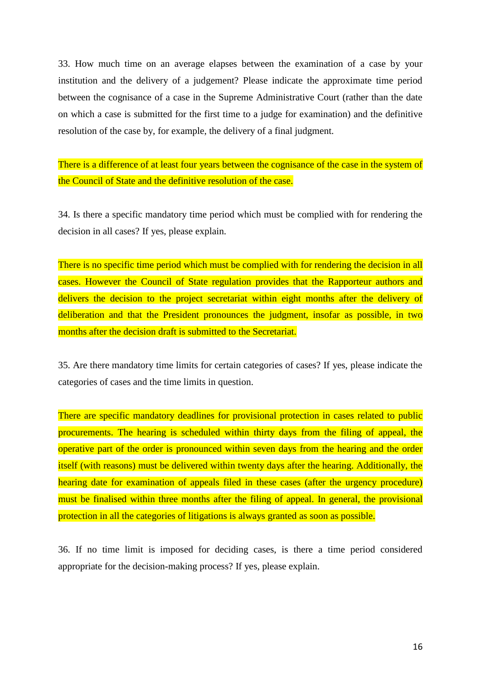33. How much time on an average elapses between the examination of a case by your institution and the delivery of a judgement? Please indicate the approximate time period between the cognisance of a case in the Supreme Administrative Court (rather than the date on which a case is submitted for the first time to a judge for examination) and the definitive resolution of the case by, for example, the delivery of a final judgment.

There is a difference of at least four years between the cognisance of the case in the system of the Council of State and the definitive resolution of the case.

34. Is there a specific mandatory time period which must be complied with for rendering the decision in all cases? If yes, please explain.

There is no specific time period which must be complied with for rendering the decision in all cases. However the Council of State regulation provides that the Rapporteur authors and delivers the decision to the project secretariat within eight months after the delivery of deliberation and that the President pronounces the judgment, insofar as possible, in two months after the decision draft is submitted to the Secretariat.

35. Are there mandatory time limits for certain categories of cases? If yes, please indicate the categories of cases and the time limits in question.

There are specific mandatory deadlines for provisional protection in cases related to public procurements. The hearing is scheduled within thirty days from the filing of appeal, the operative part of the order is pronounced within seven days from the hearing and the order itself (with reasons) must be delivered within twenty days after the hearing. Additionally, the hearing date for examination of appeals filed in these cases (after the urgency procedure) must be finalised within three months after the filing of appeal. In general, the provisional protection in all the categories of litigations is always granted as soon as possible.

36. If no time limit is imposed for deciding cases, is there a time period considered appropriate for the decision-making process? If yes, please explain.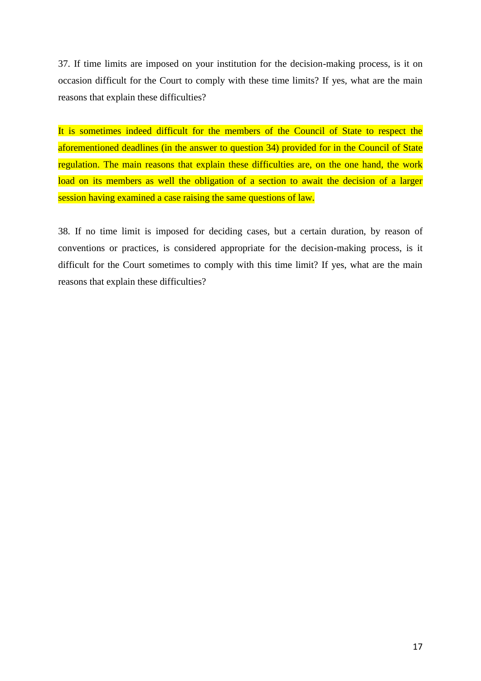37. If time limits are imposed on your institution for the decision-making process, is it on occasion difficult for the Court to comply with these time limits? If yes, what are the main reasons that explain these difficulties?

It is sometimes indeed difficult for the members of the Council of State to respect the aforementioned deadlines (in the answer to question 34) provided for in the Council of State regulation. The main reasons that explain these difficulties are, on the one hand, the work load on its members as well the obligation of a section to await the decision of a larger session having examined a case raising the same questions of law.

38. If no time limit is imposed for deciding cases, but a certain duration, by reason of conventions or practices, is considered appropriate for the decision-making process, is it difficult for the Court sometimes to comply with this time limit? If yes, what are the main reasons that explain these difficulties?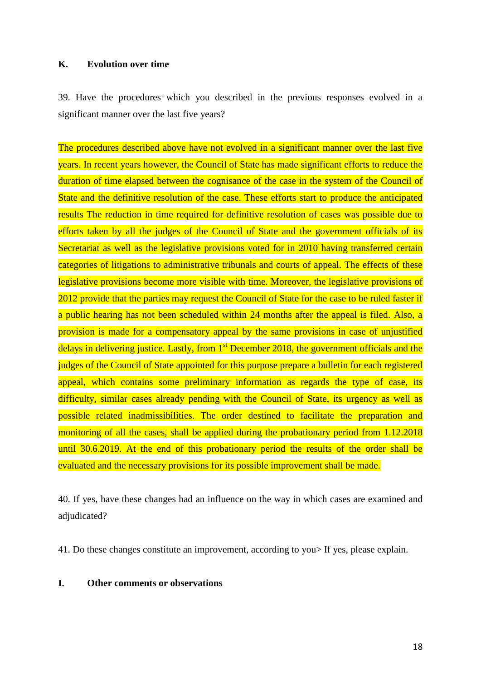#### **K. Evolution over time**

39. Have the procedures which you described in the previous responses evolved in a significant manner over the last five years?

The procedures described above have not evolved in a significant manner over the last five years. In recent years however, the Council of State has made significant efforts to reduce the duration of time elapsed between the cognisance of the case in the system of the Council of State and the definitive resolution of the case. These efforts start to produce the anticipated results The reduction in time required for definitive resolution of cases was possible due to efforts taken by all the judges of the Council of State and the government officials of its Secretariat as well as the legislative provisions voted for in 2010 having transferred certain categories of litigations to administrative tribunals and courts of appeal. The effects of these legislative provisions become more visible with time. Moreover, the legislative provisions of 2012 provide that the parties may request the Council of State for the case to be ruled faster if a public hearing has not been scheduled within 24 months after the appeal is filed. Also, a provision is made for a compensatory appeal by the same provisions in case of unjustified delays in delivering justice. Lastly, from 1<sup>st</sup> December 2018, the government officials and the judges of the Council of State appointed for this purpose prepare a bulletin for each registered appeal, which contains some preliminary information as regards the type of case, its difficulty, similar cases already pending with the Council of State, its urgency as well as possible related inadmissibilities. The order destined to facilitate the preparation and monitoring of all the cases, shall be applied during the probationary period from 1.12.2018 until 30.6.2019. At the end of this probationary period the results of the order shall be evaluated and the necessary provisions for its possible improvement shall be made.

40. If yes, have these changes had an influence on the way in which cases are examined and adjudicated?

41. Do these changes constitute an improvement, according to you> If yes, please explain.

#### **I. Other comments or observations**